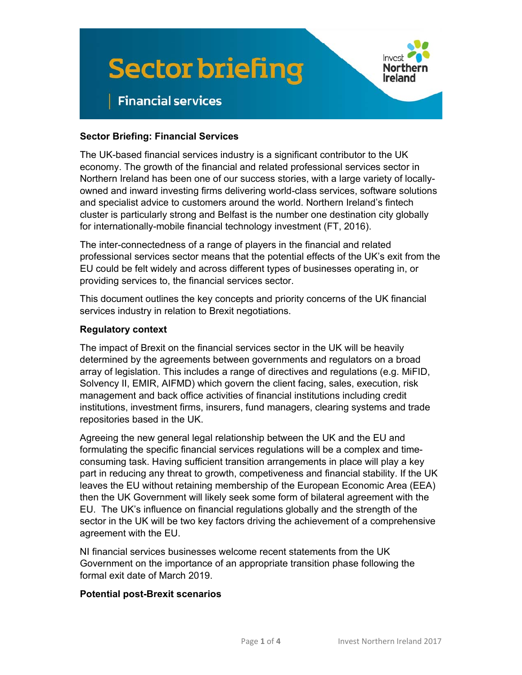



# **Financial services**

### **Sector Briefing: Financial Services**

The UK-based financial services industry is a significant contributor to the UK economy. The growth of the financial and related professional services sector in Northern Ireland has been one of our success stories, with a large variety of locallyowned and inward investing firms delivering world-class services, software solutions and specialist advice to customers around the world. Northern Ireland's fintech cluster is particularly strong and Belfast is the number one destination city globally for internationally-mobile financial technology investment (FT, 2016).

The inter-connectedness of a range of players in the financial and related professional services sector means that the potential effects of the UK's exit from the EU could be felt widely and across different types of businesses operating in, or providing services to, the financial services sector.

This document outlines the key concepts and priority concerns of the UK financial services industry in relation to Brexit negotiations.

#### **Regulatory context**

The impact of Brexit on the financial services sector in the UK will be heavily determined by the agreements between governments and regulators on a broad array of legislation. This includes a range of directives and regulations (e.g. MiFID, Solvency II, EMIR, AIFMD) which govern the client facing, sales, execution, risk management and back office activities of financial institutions including credit institutions, investment firms, insurers, fund managers, clearing systems and trade repositories based in the UK.

Agreeing the new general legal relationship between the UK and the EU and formulating the specific financial services regulations will be a complex and timeconsuming task. Having sufficient transition arrangements in place will play a key part in reducing any threat to growth, competiveness and financial stability. If the UK leaves the EU without retaining membership of the European Economic Area (EEA) then the UK Government will likely seek some form of bilateral agreement with the EU. The UK's influence on financial regulations globally and the strength of the sector in the UK will be two key factors driving the achievement of a comprehensive agreement with the EU.

NI financial services businesses welcome recent statements from the UK Government on the importance of an appropriate transition phase following the formal exit date of March 2019.

#### **Potential post-Brexit scenarios**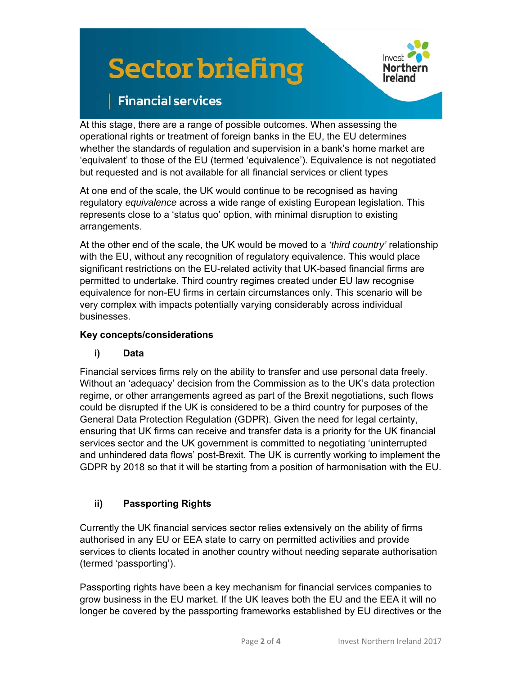# **Sector briefing**



# **Financial services**

At this stage, there are a range of possible outcomes. When assessing the operational rights or treatment of foreign banks in the EU, the EU determines whether the standards of regulation and supervision in a bank's home market are 'equivalent' to those of the EU (termed 'equivalence'). Equivalence is not negotiated but requested and is not available for all financial services or client types

At one end of the scale, the UK would continue to be recognised as having regulatory *equivalence* across a wide range of existing European legislation. This represents close to a 'status quo' option, with minimal disruption to existing arrangements.

At the other end of the scale, the UK would be moved to a *'third country'* relationship with the EU, without any recognition of regulatory equivalence. This would place significant restrictions on the EU-related activity that UK-based financial firms are permitted to undertake. Third country regimes created under EU law recognise equivalence for non-EU firms in certain circumstances only. This scenario will be very complex with impacts potentially varying considerably across individual businesses.

## **Key concepts/considerations**

## **i) Data**

Financial services firms rely on the ability to transfer and use personal data freely. Without an 'adequacy' decision from the Commission as to the UK's data protection regime, or other arrangements agreed as part of the Brexit negotiations, such flows could be disrupted if the UK is considered to be a third country for purposes of the General Data Protection Regulation (GDPR). Given the need for legal certainty, ensuring that UK firms can receive and transfer data is a priority for the UK financial services sector and the UK government is committed to negotiating 'uninterrupted and unhindered data flows' post-Brexit. The UK is currently working to implement the GDPR by 2018 so that it will be starting from a position of harmonisation with the EU.

## **ii) Passporting Rights**

Currently the UK financial services sector relies extensively on the ability of firms authorised in any EU or EEA state to carry on permitted activities and provide services to clients located in another country without needing separate authorisation (termed 'passporting').

Passporting rights have been a key mechanism for financial services companies to grow business in the EU market. If the UK leaves both the EU and the EEA it will no longer be covered by the passporting frameworks established by EU directives or the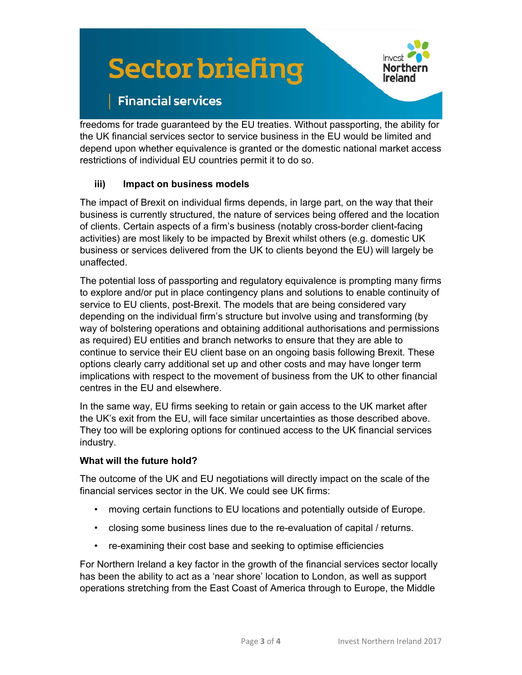# **Sector briefing**



# **Financial services**

freedoms for trade guaranteed by the EU treaties. Without passporting, the ability for the UK financial services sector to service business in the EU would be limited and depend upon whether equivalence is granted or the domestic national market access restrictions of individual EU countries permit it to do so.

### **iii) Impact on business models**

The impact of Brexit on individual firms depends, in large part, on the way that their business is currently structured, the nature of services being offered and the location of clients. Certain aspects of a firm's business (notably cross-border client-facing activities) are most likely to be impacted by Brexit whilst others (e.g. domestic UK business or services delivered from the UK to clients beyond the EU) will largely be unaffected.

The potential loss of passporting and regulatory equivalence is prompting many firms to explore and/or put in place contingency plans and solutions to enable continuity of service to EU clients, post-Brexit. The models that are being considered vary depending on the individual firm's structure but involve using and transforming (by way of bolstering operations and obtaining additional authorisations and permissions as required) EU entities and branch networks to ensure that they are able to continue to service their EU client base on an ongoing basis following Brexit. These options clearly carry additional set up and other costs and may have longer term implications with respect to the movement of business from the UK to other financial centres in the EU and elsewhere.

In the same way, EU firms seeking to retain or gain access to the UK market after the UK's exit from the EU, will face similar uncertainties as those described above. They too will be exploring options for continued access to the UK financial services industry.

### **What will the future hold?**

The outcome of the UK and EU negotiations will directly impact on the scale of the financial services sector in the UK. We could see UK firms:

- moving certain functions to EU locations and potentially outside of Europe.
- closing some business lines due to the re-evaluation of capital / returns.
- re-examining their cost base and seeking to optimise efficiencies

For Northern Ireland a key factor in the growth of the financial services sector locally has been the ability to act as a 'near shore' location to London, as well as support operations stretching from the East Coast of America through to Europe, the Middle